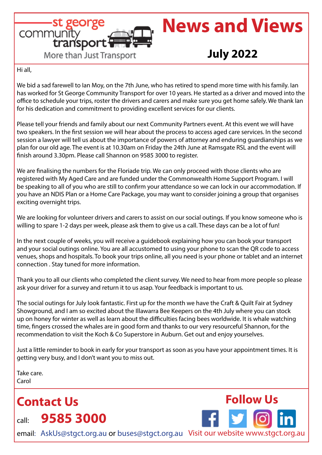

# **News and Views**

# **July 2022**

 **Follow Us**

Hi all,

We bid a sad farewell to Ian Moy, on the 7th June, who has retired to spend more time with his family. Ian has worked for St George Community Transport for over 10 years. He started as a driver and moved into the office to schedule your trips, roster the drivers and carers and make sure you get home safely. We thank Ian for his dedication and commitment to providing excellent services for our clients.

Please tell your friends and family about our next Community Partners event. At this event we will have two speakers. In the first session we will hear about the process to access aged care services. In the second session a lawyer will tell us about the importance of powers of attorney and enduring guardianships as we plan for our old age. The event is at 10.30am on Friday the 24th June at Ramsgate RSL and the event will finish around 3.30pm. Please call Shannon on 9585 3000 to register.

We are finalising the numbers for the Floriade trip. We can only proceed with those clients who are registered with My Aged Care and are funded under the Commonwealth Home Support Program. I will be speaking to all of you who are still to confirm your attendance so we can lock in our accommodation. If you have an NDIS Plan or a Home Care Package, you may want to consider joining a group that organises exciting overnight trips.

We are looking for volunteer drivers and carers to assist on our social outings. If you know someone who is willing to spare 1-2 days per week, please ask them to give us a call. These days can be a lot of fun!

In the next couple of weeks, you will receive a guidebook explaining how you can book your transport and your social outings online. You are all accustomed to using your phone to scan the QR code to access venues, shops and hospitals. To book your trips online, all you need is your phone or tablet and an internet connection . Stay tuned for more information.

Thank you to all our clients who completed the client survey. We need to hear from more people so please ask your driver for a survey and return it to us asap. Your feedback is important to us.

The social outings for July look fantastic. First up for the month we have the Craft & Quilt Fair at Sydney Showground, and I am so excited about the Illawarra Bee Keepers on the 4th July where you can stock up on honey for winter as well as learn about the difficulties facing bees worldwide. It is whale watching time, fingers crossed the whales are in good form and thanks to our very resourceful Shannon, for the recommendation to visit the Koch & Co Superstore in Auburn. Get out and enjoy yourselves.

Just a little reminder to book in early for your transport as soon as you have your appointment times. It is getting very busy, and I don't want you to miss out.

Take care. Carol

**Contact Us** call: **9585 3000**

email: AskUs@stgct.org.au or buses@stgct.org.au Visit our website www.stgct.org.au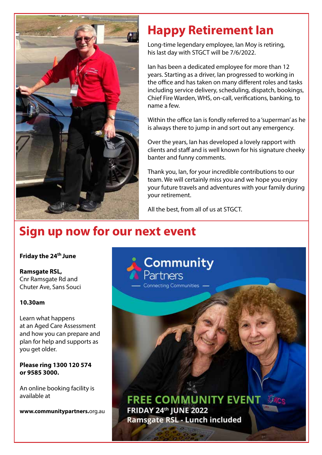

# **Happy Retirement Ian**

Long-time legendary employee, Ian Moy is retiring, his last day with STGCT will be 7/6/2022.

Ian has been a dedicated employee for more than 12 years. Starting as a driver, Ian progressed to working in the office and has taken on many different roles and tasks including service delivery, scheduling, dispatch, bookings, Chief Fire Warden, WHS, on-call, verifications, banking, to name a few.

Within the office Ian is fondly referred to a 'superman' as he is always there to jump in and sort out any emergency.

Over the years, Ian has developed a lovely rapport with clients and staff and is well known for his signature cheeky banter and funny comments.

Thank you, Ian, for your incredible contributions to our team. We will certainly miss you and we hope you enjoy your future travels and adventures with your family during your retirement.

All the best, from all of us at STGCT.

# **Sign up now for our next event**

### **Friday the 24th June**

**Ramsgate RSL,** Cnr Ramsgate Rd and Chuter Ave, Sans Souci

# **10.30am**

Learn what happens at an Aged Care Assessment and how you can prepare and plan for help and supports as you get older.

### **Please ring 1300 120 574 or 9585 3000.**

An online booking facility is available at

**www.communitypartners.**org.au

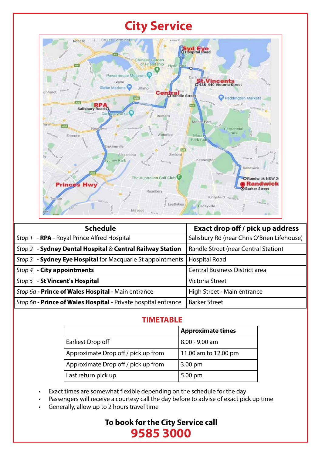# **City Service**



| <b>Schedule</b>                                                | <b>Exact drop off / pick up address</b>     |
|----------------------------------------------------------------|---------------------------------------------|
| Stop 1 - RPA - Royal Prince Alfred Hospital                    | Salisbury Rd (near Chris O'Brien Lifehouse) |
| Stop 2 - Sydney Dental Hospital & Central Railway Station      | Randle Street (near Central Station)        |
| Stop 3 - Sydney Eye Hospital for Macquarie St appointments     | <b>Hospital Road</b>                        |
| Stop 4 - City appointments                                     | <b>Central Business District area</b>       |
| Stop 5 - St Vincent's Hospital                                 | <b>Victoria Street</b>                      |
| Stop 6a - Prince of Wales Hospital - Main entrance             | High Street - Main entrance                 |
| Stop 6b - Prince of Wales Hospital - Private hospital entrance | <b>Barker Street</b>                        |

# **TIMETABLE**

|                                     | <b>Approximate times</b> |
|-------------------------------------|--------------------------|
| Earliest Drop off                   | 8.00 - 9.00 am           |
| Approximate Drop off / pick up from | 11.00 am to 12.00 pm     |
| Approximate Drop off / pick up from | $3.00 \text{ pm}$        |
| Last return pick up                 | 5.00 pm                  |

• Exact times are somewhat flexible depending on the schedule for the day

• Passengers will receive a courtesy call the day before to advise of exact pick up time

• Generally, allow up to 2 hours travel time

# **To book for the City Service call 9585 3000**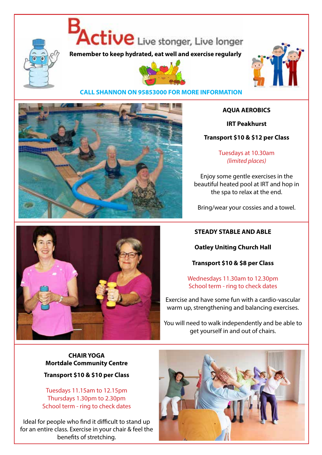

Active Live stonger, Live longer

**Remember to keep hydrated, eat well and exercise regularly**





### **CALL SHANNON ON 95853000 FOR MORE INFORMATION**



### **AQUA AEROBICS**

**IRT Peakhurst**

**Transport \$10 & \$12 per Class**

Tuesdays at 10.30am *(limited places)*

Enjoy some gentle exercises in the beautiful heated pool at IRT and hop in the spa to relax at the end.

Bring/wear your cossies and a towel.

# **STEADY STABLE AND ABLE**

**Oatley Uniting Church Hall**

**Transport \$10 & \$8 per Class**

Wednesdays 11.30am to 12.30pm School term - ring to check dates

Exercise and have some fun with a cardio-vascular warm up, strengthening and balancing exercises.

You will need to walk independently and be able to get yourself in and out of chairs.

# **CHAIR YOGA Mortdale Community Centre**

**Transport \$10 & \$10 per Class**

Tuesdays 11.15am to 12.15pm Thursdays 1.30pm to 2.30pm School term - ring to check dates

Ideal for people who find it difficult to stand up for an entire class. Exercise in your chair & feel the benefits of stretching.



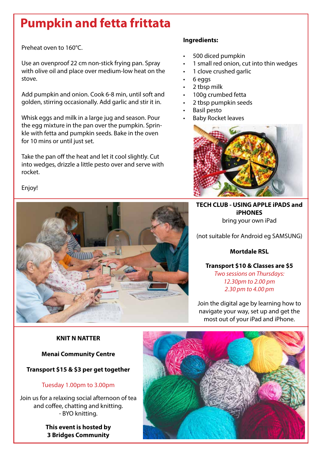# **Pumpkin and fetta frittata**

Preheat oven to 160°C.

Use an ovenproof 22 cm non-stick frying pan. Spray with olive oil and place over medium-low heat on the stove.

Add pumpkin and onion. Cook 6-8 min, until soft and golden, stirring occasionally. Add garlic and stir it in.

Whisk eggs and milk in a large jug and season. Pour the egg mixture in the pan over the pumpkin. Sprinkle with fetta and pumpkin seeds. Bake in the oven for 10 mins or until just set.

Take the pan off the heat and let it cool slightly. Cut into wedges, drizzle a little pesto over and serve with rocket.

# **Ingredients:**

- 500 diced pumpkin
- 1 small red onion, cut into thin wedges
- 1 clove crushed garlic
- 6 eggs
- 2 tbsp milk
- 100g crumbed fetta
- 2 tbsp pumpkin seeds
- Basil pesto
- Baby Rocket leaves



**TECH CLUB - USING APPLE iPADS and iPHONES** bring your own iPad

(not suitable for Android eg SAMSUNG)

# **Mortdale RSL**

**Transport \$10 & Classes are \$5** *Two sessions on Thursdays: 12.30pm to 2.00 pm 2.30 pm to 4.00 pm*

Join the digital age by learning how to navigate your way, set up and get the most out of your iPad and iPhone.

# **KNIT N NATTER**

# **Menai Community Centre**

# **Transport \$15 & \$3 per get together**

# Tuesday 1.00pm to 3.00pm

Join us for a relaxing social afternoon of tea and coffee, chatting and knitting. - BYO knitting.

> **This event is hosted by 3 Bridges Community**



Enjoy!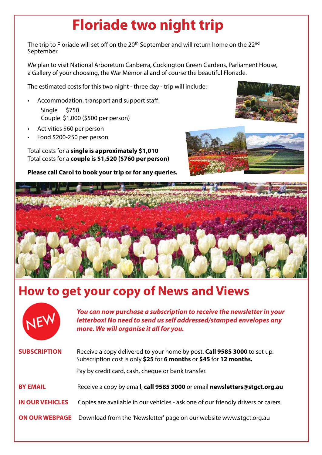# **Floriade two night trip**

The trip to Floriade will set off on the 20<sup>th</sup> September and will return home on the 22<sup>nd</sup> September.

We plan to visit National Arboretum Canberra, Cockington Green Gardens, Parliament House, a Gallery of your choosing, the War Memorial and of course the beautiful Floriade.

The estimated costs for this two night - three day - trip will include:

• Accommodation, transport and support staff: Single \$750

Couple \$1,000 (\$500 per person)

- Activities \$60 per person
- Food \$200-250 per person

Total costs for a **single is approximately \$1,010** Total costs for a **couple is \$1,520 (\$760 per person)**

**Please call Carol to book your trip or for any queries.**







# **How to get your copy of News and Views**



*You can now purchase a subscription to receive the newsletter in your letterbox! No need to send us self addressed/stamped envelopes any more. We will organise it all for you.* 

| <b>SUBSCRIPTION</b>    | Receive a copy delivered to your home by post. Call 9585 3000 to set up.<br>Subscription cost is only \$25 for 6 months or \$45 for 12 months.<br>Pay by credit card, cash, cheque or bank transfer. |
|------------------------|------------------------------------------------------------------------------------------------------------------------------------------------------------------------------------------------------|
| <b>BY EMAIL</b>        | Receive a copy by email, call 9585 3000 or email newsletters@stgct.org.au                                                                                                                            |
| <b>IN OUR VEHICLES</b> | Copies are available in our vehicles - ask one of our friendly drivers or carers.                                                                                                                    |
|                        | <b>ON OUR WEBPAGE</b> Download from the 'Newsletter' page on our website www.stgct.org.au                                                                                                            |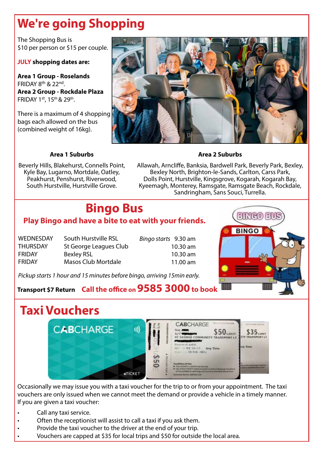# **We're going Shopping**

The Shopping Bus is \$10 per person or \$15 per couple.

### **JULY shopping dates are:**

**Area 1 Group - Roselands** FRIDAY 8th & 22nd. **Area 2 Group - Rockdale Plaza** FRIDAY 1st, 15th & 29th.

There is a maximum of 4 shopping bags each allowed on the bus (combined weight of 16kg).



# **Area 1 Suburbs**

Beverly Hills, Blakehurst, Connells Point, Kyle Bay, Lugarno, Mortdale, Oatley, Peakhurst, Penshurst, Riverwood, South Hurstville, Hurstville Grove.

Allawah, Arncliffe, Banksia, Bardwell Park, Beverly Park, Bexley, Bexley North, Brighton-le-Sands, Carlton, Carss Park, Dolls Point, Hurstville, Kingsgrove, Kogarah, Kogarah Bay, Kyeemagh, Monterey, Ramsgate, Ramsgate Beach, Rockdale, Sandringham, Sans Souci, Turrella.

**Area 2 Suburbs**

# **Bingo Bus**

# **Play Bingo and have a bite to eat with your friends.**

| <b>WEDNESDAY</b> | South Hurstville RSL       |
|------------------|----------------------------|
| <b>THURSDAY</b>  | St George Leagues Club     |
| <b>FRIDAY</b>    | <b>Bexley RSL</b>          |
| <b>FRIDAY</b>    | <b>Masos Club Mortdale</b> |

*Bingo starts* 9.30 am 10.30 am 10.30 am 11.00 am

*Pickup starts 1 hour and 15 minutes before bingo, arriving 15min early.*

# **Transport \$7 Return Call the office on 9585 3000 to book**



# **Taxi Vouchers**



Occasionally we may issue you with a taxi voucher for the trip to or from your appointment. The taxi vouchers are only issued when we cannot meet the demand or provide a vehicle in a timely manner. If you are given a taxi voucher:

- Call any taxi service.
- Often the receptionist will assist to call a taxi if you ask them.
- Provide the taxi voucher to the driver at the end of your trip.
- Vouchers are capped at \$35 for local trips and \$50 for outside the local area.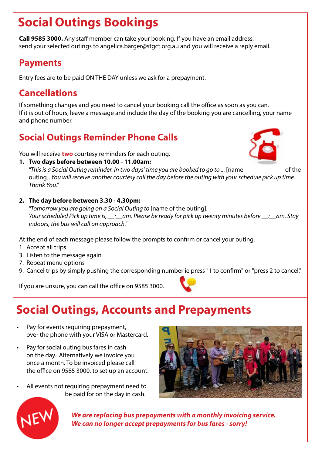# **Social Outings Bookings**

**Call 9585 3000.** Any staff member can take your booking. If you have an email address, send your selected outings to angelica.barger@stgct.org.au and you will receive a reply email.

# **Payments**

Entry fees are to be paid ON THE DAY unless we ask for a prepayment.

# **Cancellations**

If something changes and you need to cancel your booking call the office as soon as you can. If it is out of hours, leave a message and include the day of the booking you are cancelling, your name and phone number.

# **Social Outings Reminder Phone Calls**

You will receive **two** courtesy reminders for each outing.

**1. Two days before between 10.00 - 11.00am:**

"This is a Social Outing reminder. In two days' time you are booked to go to ... [name of the of the outing]. *You will receive another courtesy call the day before the outing with your schedule pick up time. Thank You."*

**2. The day before between 3.30 - 4.30pm:**

*"Tomorrow you are going on a Social Outing to* [name of the outing]. *Your scheduled Pick up time is, \_\_:\_\_am. Please be ready for pick up twenty minutes before \_\_:\_\_am. Stay indoors, the bus will call on approach."*

At the end of each message please follow the prompts to confirm or cancel your outing.

- 1. Accept all trips
- 3. Listen to the message again
- 7. Repeat menu options
- 9. Cancel trips by simply pushing the corresponding number ie press "1 to confirm" or "press 2 to cancel."

If you are unsure, you can call the office on 9585 3000.

# **Social Outings, Accounts and Prepayments**

- Pay for events requiring prepayment, over the phone with your VISA or Mastercard.
- Pay for social outing bus fares in cash on the day. Alternatively we invoice you once a month. To be invoiced please call the office on 9585 3000, to set up an account.
- All events not requiring prepayment need to be paid for on the day in cash.





 *We are replacing bus prepayments with a monthly invoicing service. We can no longer accept prepayments for bus fares - sorry!* 

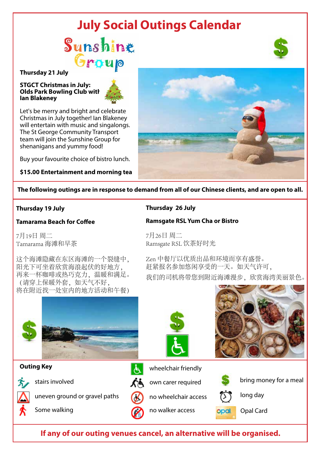# **July Social Outings Calendar**

# Sunshine *<u>roup</u>*

#### **Thursday 21 July**

#### **STGCT Christmas in July: Olds Park Bowling Club with Ian Blakeney**



Let's be merry and bright and celebrate Christmas in July together! Ian Blakeney will entertain with music and singalongs. The St George Community Transport team will join the Sunshine Group for shenanigans and yummy food!

Buy your favourite choice of bistro lunch.

**\$15.00 Entertainment and morning tea**



**The following outings are in response to demand from all of our Chinese clients, and are open to all.**

### **Thursday 19 July**

### **Tamarama Beach for Coffee**

7月19日 周二 Tamarama 海滩和早茶

这个海滩隐藏在东区海滩的一个裂缝中, 阳光下可坐着欣赏海浪起伏的好地方, 再来一杯咖啡或热巧克力,温暖和满足。 (请穿上保暖外套,如天气不好, 将在附近找一处室内的地方活动和午餐)

### **Thursday 26 July**

### **Ramsgate RSL Yum Cha or Bistro**

7月26日 周二 Ramsgate RSL 饮茶好时光

Zen 中餐厅以优质出品和环境而享有盛誉。 赶紧报名参加悠闲享受的一天。如天气许可, 我们的司机将带您到附近海滩漫步,欣赏海湾美丽景色。



### **Outing Key**

stairs involved

uneven ground or gravel paths  $\alpha$  no wheelchair access  $\alpha$  long day

Some walking









bring money for a meal



no walker access **Opal** Opal Card

**If any of our outing venues cancel, an alternative will be organised.**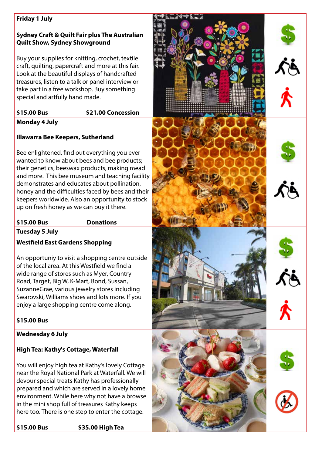### **Friday 1 July**

# **Sydney Craft & Quilt Fair plus The Australian Quilt Show, Sydney Showground**

Buy your supplies for knitting, crochet, textile craft, quilting, papercraft and more at this fair. Look at the beautiful displays of handcrafted treasures, listen to a talk or panel interview or take part in a free workshop. Buy something special and artfully hand made.

# **\$15.00 Bus \$21.00 Concession**

# **Monday 4 July**

# **Illawarra Bee Keepers, Sutherland**

Bee enlightened, find out everything you ever wanted to know about bees and bee products; their genetics, beeswax products, making mead and more. This bee museum and teaching facility demonstrates and educates about pollination, honey and the difficulties faced by bees and their keepers worldwide. Also an opportunity to stock up on fresh honey as we can buy it there.

# **\$15.00 Bus Donations**

**Tuesday 5 July**

# **Westfield East Gardens Shopping**

An opportuniy to visit a shopping centre outside of the local area. At this Westfield we find a wide range of stores such as Myer, Country Road, Target, Big W, K-Mart, Bond, Sussan, SuzanneGrae, various jewelry stores including Swarovski, Williams shoes and lots more. If you enjoy a large shopping centre come along.

# **\$15.00 Bus**

# **Wednesday 6 July**

# **High Tea: Kathy's Cottage, Waterfall**

You will enjoy high tea at Kathy's lovely Cottage near the Royal National Park at Waterfall. We will devour special treats Kathy has professionally prepared and which are served in a lovely home environment. While here why not have a browse in the mini shop full of treasures Kathy keeps here too. There is one step to enter the cottage.

**\$15.00 Bus \$35.00 High Tea** 

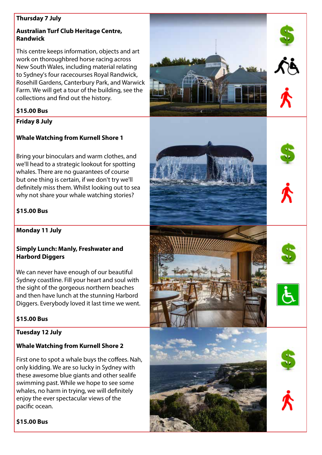### **Thursday 7 July**

# **Australian Turf Club Heritage Centre, Randwick**

This centre keeps information, objects and art work on thoroughbred horse racing across New South Wales, including material relating to Sydney's four racecourses Royal Randwick, Rosehill Gardens, Canterbury Park, and Warwick Farm. We will get a tour of the building, see the collections and find out the history.

# **\$15.00 Bus**

**Friday 8 July**

# **Whale Watching from Kurnell Shore 1**

Bring your binoculars and warm clothes, and we'll head to a strategic lookout for spotting whales. There are no guarantees of course but one thing is certain, if we don't try we'll definitely miss them. Whilst looking out to sea why not share your whale watching stories?

# **\$15.00 Bus**

**Monday 11 July**

# **Simply Lunch: Manly, Freshwater and Harbord Diggers**

We can never have enough of our beautiful Sydney coastline. Fill your heart and soul with the sight of the gorgeous northern beaches and then have lunch at the stunning Harbord Diggers. Everybody loved it last time we went.

# **\$15.00 Bus**

**Tuesday 12 July**

# **Whale Watching from Kurnell Shore 2**

First one to spot a whale buys the coffees. Nah, only kidding. We are so lucky in Sydney with these awesome blue giants and other sealife swimming past. While we hope to see some whales, no harm in trying, we will definitely enjoy the ever spectacular views of the pacific ocean.



# **\$15.00 Bus**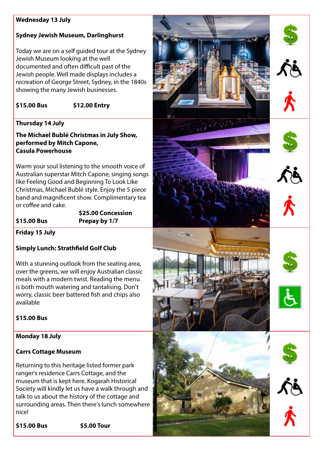### **Wednesday 13 July**

# **Sydney Jewish Museum, Darlinghurst**

Today we are on a self guided tour at the Sydney Jewish Museum looking at the well documented and often difficult past of the Jewish people. Well made displays includes a recreation of George Street, Sydney, in the 1840s showing the many Jewish businesses.

**\$15.00 Bus \$12.00 Entry** 

# **Thursday 14 July**

**The Michael Bublé Christmas in July Show, performed by Mitch Capone, Casula Powerhouse**

Warm your soul listening to the smooth voice of Australian superstar Mitch Capone, singing songs like Feeling Good and Beginning To Look Like Christmas, Michael Bublé style. Enjoy the 5 piece band and magnificent show. Complimentary tea or coffee and cake.

 **\$25.00 Concession \$15.00 Bus Prepay by 1/7**

**Friday 15 July**

# **Simply Lunch: Strathfield Golf Club**

With a stunning outlook from the seating area, over the greens, we will enjoy Australian classic meals with a modern twist. Reading the menu is both mouth watering and tantalising. Don't worry, classic beer battered fish and chips also available

# **\$15.00 Bus**

# **Monday 18 July**

### **Carrs Cottage Museum**

Returning to this heritage listed former park ranger's residence Carrs Cottage, and the museum that is kept here. Kogarah Historical Society will kindly let us have a walk through and talk to us about the history of the cottage and surrounding areas. Then there's lunch somewhere nice!

**\$15.00 Bus \$5.00 Tour**

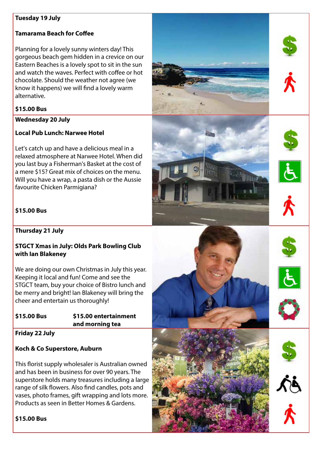#### **Tuesday 19 July**

### **Tamarama Beach for Coffee**

Planning for a lovely sunny winters day! This gorgeous beach gem hidden in a crevice on our Eastern Beaches is a lovely spot to sit in the sun and watch the waves. Perfect with coffee or hot chocolate. Should the weather not agree (we know it happens) we will find a lovely warm alternative.

#### **\$15.00 Bus**

#### **Wednesday 20 July**

### **Local Pub Lunch: Narwee Hotel**

Let's catch up and have a delicious meal in a relaxed atmosphere at Narwee Hotel. When did you last buy a Fisherman's Basket at the cost of a mere \$15? Great mix of choices on the menu. Will you have a wrap, a pasta dish or the Aussie favourite Chicken Parmigiana?

### **\$15.00 Bus**

**Thursday 21 July**

### **STGCT Xmas in July: Olds Park Bowling Club with Ian Blakeney**

We are doing our own Christmas in July this year. Keeping it local and fun! Come and see the STGCT team, buy your choice of Bistro lunch and be merry and bright! Ian Blakeney will bring the cheer and entertain us thoroughly!

### **\$15.00 Bus \$15.00 entertainment and morning tea**

**Friday 22 July**

### **Koch & Co Superstore, Auburn**

This florist supply wholesaler is Australian owned and has been in business for over 90 years. The superstore holds many treasures including a large range of silk flowers. Also find candles, pots and vases, photo frames, gift wrapping and lots more. Products as seen in Better Homes & Gardens.

### **\$15.00 Bus**

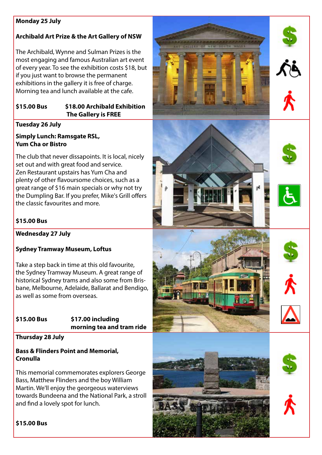# **Monday 25 July**

# **Archibald Art Prize & the Art Gallery of NSW**

The Archibald, Wynne and Sulman Prizes is the most engaging and famous Australian art event of every year. To see the exhibition costs \$18, but if you just want to browse the permanent exhibitions in the gallery it is free of charge. Morning tea and lunch available at the cafe.

# **\$15.00 Bus \$18.00 Archibald Exhibition The Gallery is FREE**

# **Tuesday 26 July**

# **Simply Lunch: Ramsgate RSL, Yum Cha or Bistro**

The club that never dissapoints. It is local, nicely set out and with great food and service. Zen Restaurant upstairs has Yum Cha and plenty of other flavoursome choices, such as a great range of \$16 main specials or why not try the Dumpling Bar. If you prefer, Mike's Grill offers the classic favourites and more.

# **\$15.00 Bus**

**Wednesday 27 July**

# **Sydney Tramway Museum, Loftus**

Take a step back in time at this old favourite, the Sydney Tramway Museum. A great range of historical Sydney trams and also some from Brisbane, Melbourne, Adelaide, Ballarat and Bendigo, as well as some from overseas.

### **\$15.00 Bus \$17.00 including morning tea and tram ride**

**Thursday 28 July**

# **Bass & Flinders Point and Memorial, Cronulla**

This memorial commemorates explorers George Bass, Matthew Flinders and the boy William Martin. We'll enjoy the georgeous waterviews towards Bundeena and the National Park, a stroll and find a lovely spot for lunch.



**\$15.00 Bus**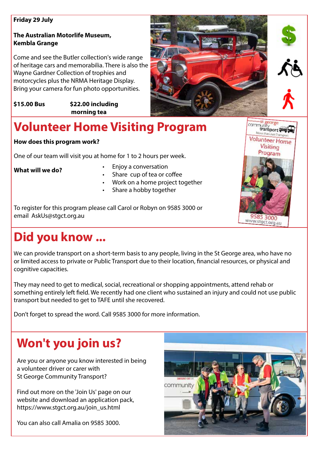### **Friday 29 July**

# **The Australian Motorlife Museum, Kembla Grange**

Come and see the Butler collection's wide range of heritage cars and memorabilia. There is also the Wayne Gardner Collection of trophies and motorcycles plus the NRMA Heritage Display. Bring your camera for fun photo opportunities.

**\$15.00 Bus \$22.00 including morning tea** 





eorge community<br>transport

Volunteer Home Visiting Program

9585 3000 www.stgct.org.au

# **Volunteer Home Visiting Program**

# **How does this program work?**

One of our team will visit you at home for 1 to 2 hours per week.

**What will we do?** 

- Enjoy a conversation
- Share cup of tea or coffee
- Work on a home project together
- Share a hobby together

To register for this program please call Carol or Robyn on 9585 3000 or email AskUs@stgct.org.au

# **Did you know ...**

We can provide transport on a short-term basis to any people, living in the St George area, who have no or limited access to private or Public Transport due to their location, financial resources, or physical and cognitive capacities.

They may need to get to medical, social, recreational or shopping appointments, attend rehab or something entirely left field. We recently had one client who sustained an injury and could not use public transport but needed to get to TAFE until she recovered.

Don't forget to spread the word. Call 9585 3000 for more information.

# **Won't you join us?**

Are you or anyone you know interested in being a volunteer driver or carer with St George Community Transport?

Find out more on the 'Join Us' page on our website and download an application pack, https://www.stgct.org.au/join\_us.html

You can also call Amalia on 9585 3000.